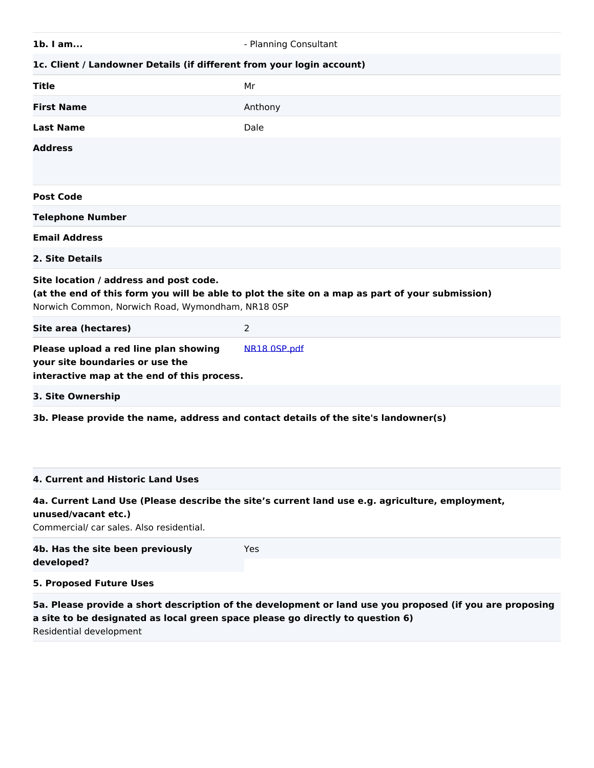| $1b.$ I am                                                                                                                                                                                     | - Planning Consultant |  |
|------------------------------------------------------------------------------------------------------------------------------------------------------------------------------------------------|-----------------------|--|
| 1c. Client / Landowner Details (if different from your login account)                                                                                                                          |                       |  |
| <b>Title</b>                                                                                                                                                                                   | Mr                    |  |
| <b>First Name</b>                                                                                                                                                                              | Anthony               |  |
| <b>Last Name</b>                                                                                                                                                                               | Dale                  |  |
| <b>Address</b>                                                                                                                                                                                 |                       |  |
| <b>Post Code</b>                                                                                                                                                                               |                       |  |
| <b>Telephone Number</b>                                                                                                                                                                        |                       |  |
| <b>Email Address</b>                                                                                                                                                                           |                       |  |
| 2. Site Details                                                                                                                                                                                |                       |  |
| Site location / address and post code.<br>(at the end of this form you will be able to plot the site on a map as part of your submission)<br>Norwich Common, Norwich Road, Wymondham, NR18 0SP |                       |  |
| Site area (hectares)                                                                                                                                                                           | 2                     |  |
| Please upload a red line plan showing<br>your site boundaries or use the<br>interactive map at the end of this process.                                                                        | NR18 0SP.pdf          |  |
| 3. Site Ownership                                                                                                                                                                              |                       |  |
| 3b. Please provide the name, address and contact details of the site's landowner(s)                                                                                                            |                       |  |

## **4. Current and Historic Land Uses**

#### **4a. Current Land Use (Please describe the site's current land use e.g. agriculture, employment, unused/vacant etc.)**

Commercial/ car sales. Also residential.

| 4b. Has the site been previously<br>developed?                                                           | Yes |  |
|----------------------------------------------------------------------------------------------------------|-----|--|
| 5. Proposed Future Uses                                                                                  |     |  |
| 5a. Please provide a short description of the development or land use you proposed (if you are proposing |     |  |

**a site to be designated as local green space please go directly to question 6)** Residential development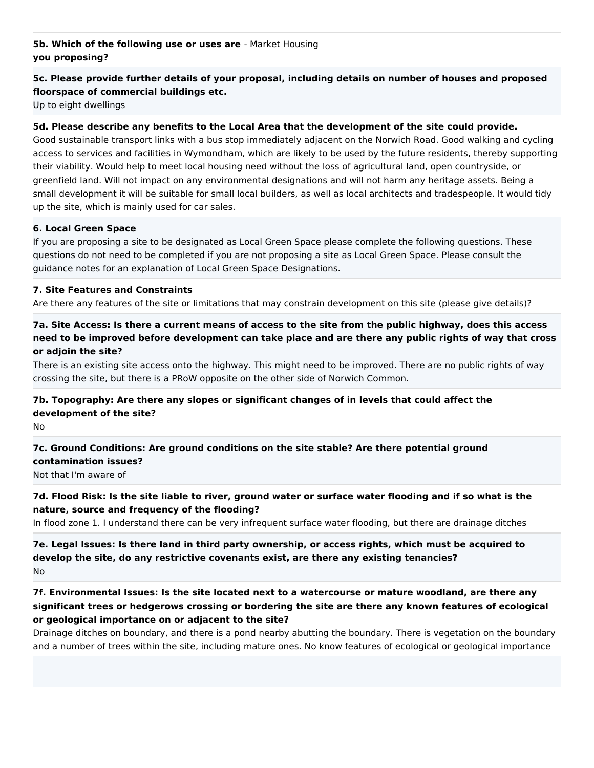## **5b. Which of the following use or uses are** - Market Housing **you proposing?**

# **5c. Please provide further details of your proposal, including details on number of houses and proposed floorspace of commercial buildings etc.**

Up to eight dwellings

#### **5d. Please describe any benefits to the Local Area that the development of the site could provide.**

Good sustainable transport links with a bus stop immediately adjacent on the Norwich Road. Good walking and cycling access to services and facilities in Wymondham, which are likely to be used by the future residents, thereby supporting their viability. Would help to meet local housing need without the loss of agricultural land, open countryside, or greenfield land. Will not impact on any environmental designations and will not harm any heritage assets. Being a small development it will be suitable for small local builders, as well as local architects and tradespeople. It would tidy up the site, which is mainly used for car sales.

#### **6. Local Green Space**

If you are proposing a site to be designated as Local Green Space please complete the following questions. These questions do not need to be completed if you are not proposing a site as Local Green Space. Please consult the guidance notes for an explanation of Local Green Space Designations.

#### **7. Site Features and Constraints**

Are there any features of the site or limitations that may constrain development on this site (please give details)?

# **7a. Site Access: Is there a current means of access to the site from the public highway, does this access need to be improved before development can take place and are there any public rights of way that cross or adjoin the site?**

There is an existing site access onto the highway. This might need to be improved. There are no public rights of way crossing the site, but there is a PRoW opposite on the other side of Norwich Common.

# **7b. Topography: Are there any slopes or significant changes of in levels that could affect the development of the site?**

No

# **7c. Ground Conditions: Are ground conditions on the site stable? Are there potential ground contamination issues?**

Not that I'm aware of

## **7d. Flood Risk: Is the site liable to river, ground water or surface water flooding and if so what is the nature, source and frequency of the flooding?**

In flood zone 1. I understand there can be very infrequent surface water flooding, but there are drainage ditches

#### **7e. Legal Issues: Is there land in third party ownership, or access rights, which must be acquired to develop the site, do any restrictive covenants exist, are there any existing tenancies?** No

# **7f. Environmental Issues: Is the site located next to a watercourse or mature woodland, are there any significant trees or hedgerows crossing or bordering the site are there any known features of ecological or geological importance on or adjacent to the site?**

Drainage ditches on boundary, and there is a pond nearby abutting the boundary. There is vegetation on the boundary and a number of trees within the site, including mature ones. No know features of ecological or geological importance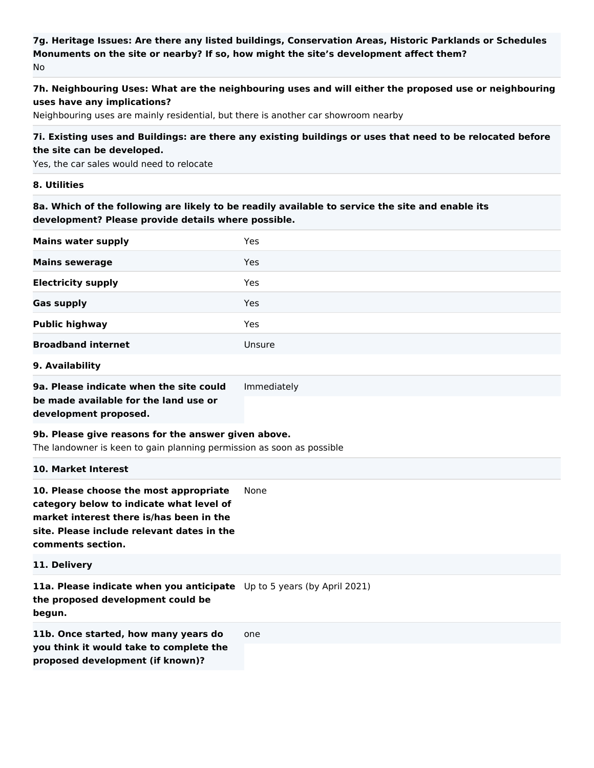## **7g. Heritage Issues: Are there any listed buildings, Conservation Areas, Historic Parklands or Schedules Monuments on the site or nearby? If so, how might the site's development affect them?** No

# **7h. Neighbouring Uses: What are the neighbouring uses and will either the proposed use or neighbouring uses have any implications?**

Neighbouring uses are mainly residential, but there is another car showroom nearby

## **7i. Existing uses and Buildings: are there any existing buildings or uses that need to be relocated before the site can be developed.**

Yes, the car sales would need to relocate

#### **8. Utilities**

**8a. Which of the following are likely to be readily available to service the site and enable its development? Please provide details where possible.**

| Yes<br><b>Mains sewerage</b><br><b>Electricity supply</b><br>Yes<br>Yes<br><b>Public highway</b><br>Yes<br><b>Broadband internet</b><br>Unsure<br>Immediately<br>be made available for the land use or<br>9b. Please give reasons for the answer given above.<br>The landowner is keen to gain planning permission as soon as possible<br>10. Market Interest<br>10. Please choose the most appropriate<br>None<br>market interest there is/has been in the<br>11a. Please indicate when you anticipate Up to 5 years (by April 2021)<br>one<br>proposed development (if known)? | <b>Mains water supply</b>                                                                                   | Yes |  |
|----------------------------------------------------------------------------------------------------------------------------------------------------------------------------------------------------------------------------------------------------------------------------------------------------------------------------------------------------------------------------------------------------------------------------------------------------------------------------------------------------------------------------------------------------------------------------------|-------------------------------------------------------------------------------------------------------------|-----|--|
|                                                                                                                                                                                                                                                                                                                                                                                                                                                                                                                                                                                  |                                                                                                             |     |  |
|                                                                                                                                                                                                                                                                                                                                                                                                                                                                                                                                                                                  |                                                                                                             |     |  |
|                                                                                                                                                                                                                                                                                                                                                                                                                                                                                                                                                                                  | <b>Gas supply</b>                                                                                           |     |  |
|                                                                                                                                                                                                                                                                                                                                                                                                                                                                                                                                                                                  |                                                                                                             |     |  |
|                                                                                                                                                                                                                                                                                                                                                                                                                                                                                                                                                                                  |                                                                                                             |     |  |
|                                                                                                                                                                                                                                                                                                                                                                                                                                                                                                                                                                                  | 9. Availability                                                                                             |     |  |
|                                                                                                                                                                                                                                                                                                                                                                                                                                                                                                                                                                                  | 9a. Please indicate when the site could                                                                     |     |  |
|                                                                                                                                                                                                                                                                                                                                                                                                                                                                                                                                                                                  | development proposed.                                                                                       |     |  |
|                                                                                                                                                                                                                                                                                                                                                                                                                                                                                                                                                                                  |                                                                                                             |     |  |
|                                                                                                                                                                                                                                                                                                                                                                                                                                                                                                                                                                                  |                                                                                                             |     |  |
|                                                                                                                                                                                                                                                                                                                                                                                                                                                                                                                                                                                  | category below to indicate what level of<br>site. Please include relevant dates in the<br>comments section. |     |  |
|                                                                                                                                                                                                                                                                                                                                                                                                                                                                                                                                                                                  | 11. Delivery                                                                                                |     |  |
|                                                                                                                                                                                                                                                                                                                                                                                                                                                                                                                                                                                  | the proposed development could be<br>begun.                                                                 |     |  |
|                                                                                                                                                                                                                                                                                                                                                                                                                                                                                                                                                                                  | 11b. Once started, how many years do<br>you think it would take to complete the                             |     |  |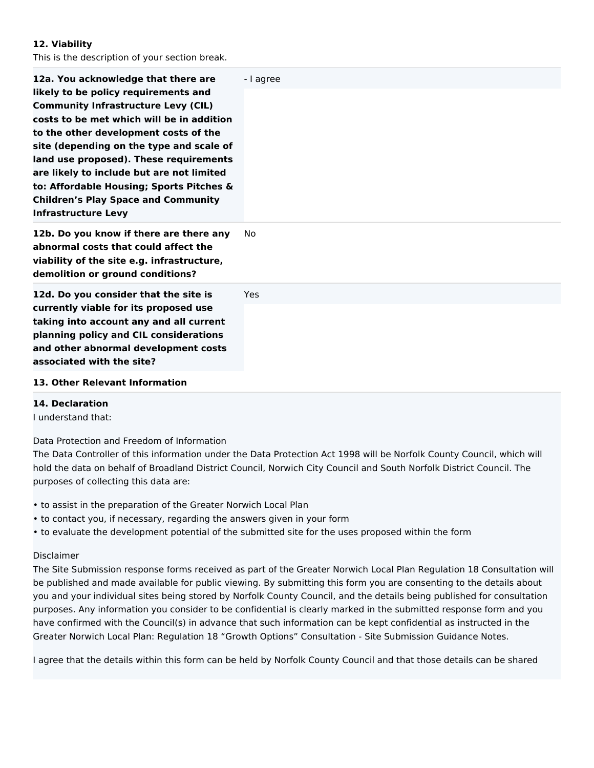#### **12. Viability**

This is the description of your section break.

| 12a. You acknowledge that there are<br>likely to be policy requirements and<br><b>Community Infrastructure Levy (CIL)</b><br>costs to be met which will be in addition<br>to the other development costs of the<br>site (depending on the type and scale of<br>land use proposed). These requirements<br>are likely to include but are not limited<br>to: Affordable Housing; Sports Pitches &<br><b>Children's Play Space and Community</b><br><b>Infrastructure Levy</b> | - I agree |
|----------------------------------------------------------------------------------------------------------------------------------------------------------------------------------------------------------------------------------------------------------------------------------------------------------------------------------------------------------------------------------------------------------------------------------------------------------------------------|-----------|
| 12b. Do you know if there are there any<br>abnormal costs that could affect the<br>viability of the site e.g. infrastructure,<br>demolition or ground conditions?                                                                                                                                                                                                                                                                                                          | No        |
| 12d. Do you consider that the site is<br>currently viable for its proposed use<br>taking into account any and all current<br>planning policy and CIL considerations<br>and other abnormal development costs<br>associated with the site?                                                                                                                                                                                                                                   | Yes.      |
| 13. Other Relevant Information                                                                                                                                                                                                                                                                                                                                                                                                                                             |           |

#### **14. Declaration**

I understand that:

Data Protection and Freedom of Information

The Data Controller of this information under the Data Protection Act 1998 will be Norfolk County Council, which will hold the data on behalf of Broadland District Council, Norwich City Council and South Norfolk District Council. The purposes of collecting this data are:

- to assist in the preparation of the Greater Norwich Local Plan
- to contact you, if necessary, regarding the answers given in your form
- to evaluate the development potential of the submitted site for the uses proposed within the form

#### Disclaimer

The Site Submission response forms received as part of the Greater Norwich Local Plan Regulation 18 Consultation will be published and made available for public viewing. By submitting this form you are consenting to the details about you and your individual sites being stored by Norfolk County Council, and the details being published for consultation purposes. Any information you consider to be confidential is clearly marked in the submitted response form and you have confirmed with the Council(s) in advance that such information can be kept confidential as instructed in the Greater Norwich Local Plan: Regulation 18 "Growth Options" Consultation - Site Submission Guidance Notes.

I agree that the details within this form can be held by Norfolk County Council and that those details can be shared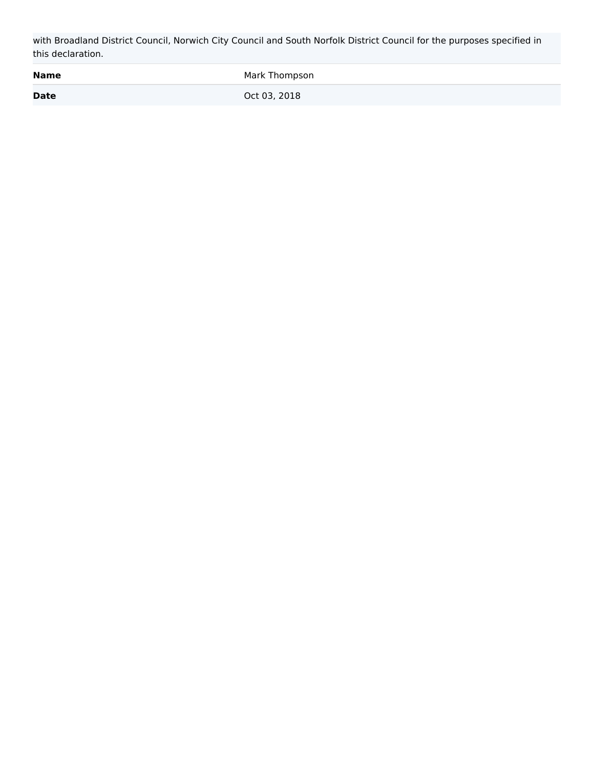with Broadland District Council, Norwich City Council and South Norfolk District Council for the purposes specified in this declaration.

| <b>Name</b> | Mark Thompson |
|-------------|---------------|
| <b>Date</b> | Oct 03, 2018  |